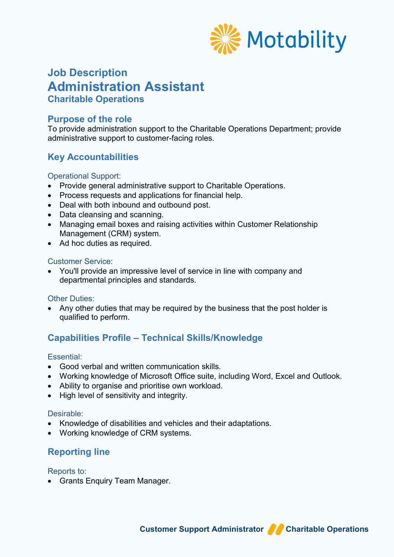

# **Job Description Administration Assistant Charitable Operations**

### **Purpose of the role**

To provide administration support to the Charitable Operations Department; provide administrative support to customer-facing roles.

# **Key Accountabilities**

#### Operational Support:

- Provide general administrative support to Charitable Operations.
- Process requests and applications for financial help.
- Deal with both inbound and outbound post.
- Data cleansing and scanning.
- Managing email boxes and raising activities within Customer Relationship Management (CRM) system.
- Ad hoc duties as required.

#### Customer Service:

• You'll provide an impressive level of service in line with company and departmental principles and standards.

#### **Other Duties:**

• Any other duties that may be required by the business that the post holder is qualified to perform.

## **Capabilities Profile – Technical Skills/Knowledge**

#### Essential:

- Good verbal and written communication skills.
- Working knowledge of Microsoft Office suite, including Word, Excel and Outlook.
- Ability to organise and prioritise own workload.
- High level of sensitivity and integrity.

#### Desirable:

- Knowledge of disabilities and vehicles and their adaptations.
- Working knowledge of CRM systems.

## **Reporting line**

Reports to:

• Grants Enquiry Team Manager.

**Customer Support Administrator Constrations**